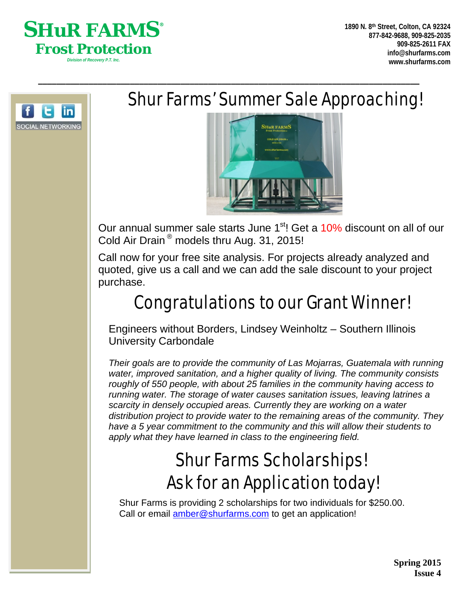



## Shur Farms' Summer Sale Approaching!

\_\_\_\_\_\_\_\_\_\_\_\_\_\_\_\_\_\_\_\_\_\_\_\_\_\_\_\_\_\_\_\_\_\_\_\_\_\_\_\_\_\_\_\_\_\_\_\_\_\_\_\_\_\_\_\_\_\_\_\_\_\_\_\_\_\_\_\_\_\_\_\_\_\_\_\_\_\_\_\_\_\_\_



Our annual summer sale starts June 1<sup>st</sup>! Get a 10% discount on all of our Cold Air Drain<sup>®</sup> models thru Aug. 31, 2015!

Call now for your free site analysis. For projects already analyzed and quoted, give us a call and we can add the sale discount to your project purchase.

## Congratulations to our Grant Winner!

Engineers without Borders, Lindsey Weinholtz – Southern Illinois University Carbondale

*Their goals are to provide the community of Las Mojarras, Guatemala with running water, improved sanitation, and a higher quality of living. The community consists roughly of 550 people, with about 25 families in the community having access to running water. The storage of water causes sanitation issues, leaving latrines a scarcity in densely occupied areas. Currently they are working on a water distribution project to provide water to the remaining areas of the community. They have a 5 year commitment to the community and this will allow their students to apply what they have learned in class to the engineering field.* 

# Shur Farms Scholarships! Ask for an Application today!

Shur Farms is providing 2 scholarships for two individuals for \$250.00. Call or email [amber@shurfarms.com](mailto:amber@shurfarms.com) to get an application!